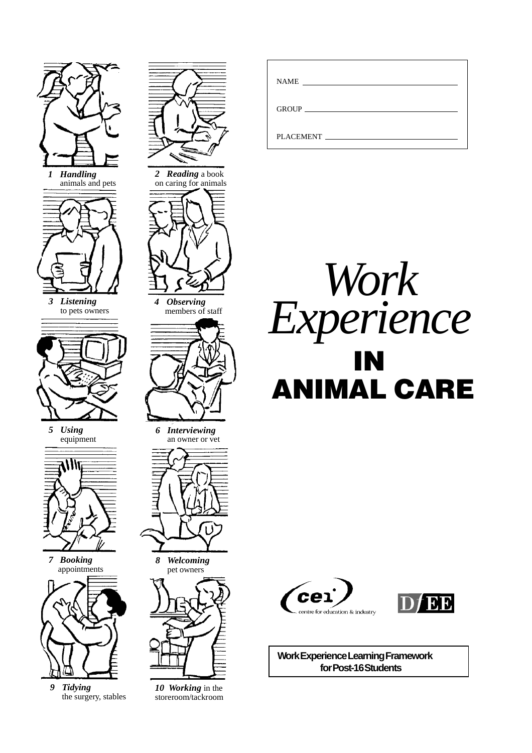



*3 Listening* to pets owners



*5 Using* equipment



*7 Booking* appointments



*9 Tidying* the surgery, stables



*4 Observing* members of staff



*6 Interviewing* an owner or vet



*8 Welcoming* pet owners



*10 Working* in the storeroom/tackroom

| <b>NAME</b> |
|-------------|
|             |
| PLACEMENT   |







**Work Experience Learning Framework for Post-16 Students**